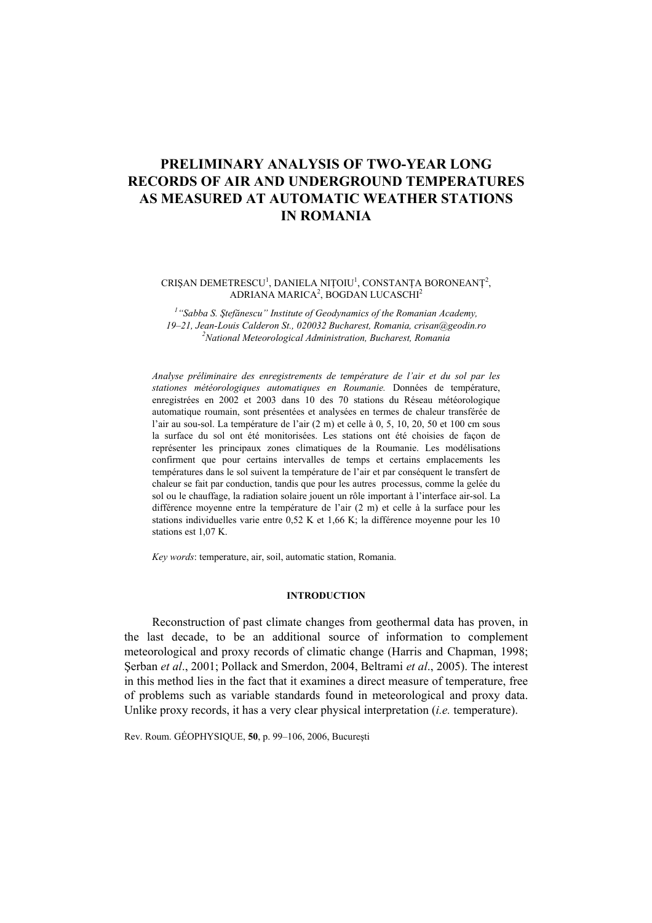# **PRELIMINARY ANALYSIS OF TWO-YEAR LONG RECORDS OF AIR AND UNDERGROUND TEMPERATURES AS MEASURED AT AUTOMATIC WEATHER STATIONS IN ROMANIA**

## CRIȘAN DEMETRESCU<sup>1</sup>, DANIELA NIȚOIU<sup>1</sup>, CONSTANȚA BORONEANȚ<sup>2</sup>, ADRIANA MARICA $^2$ , BOGDAN LUCASCHI $^2$

<sup>1</sup> "Sabba S. Ștefănescu" Institute of Geodynamics of the Romanian Academy, *19–21, Jean-Louis Calderon St., 020032 Bucharest, Romania, crisan@geodin.ro 2 National Meteorological Administration, Bucharest, Romania* 

*Analyse préliminaire des enregistrements de température de l'air et du sol par les stationes météorologiques automatiques en Roumanie.* Données de température, enregistrées en 2002 et 2003 dans 10 des 70 stations du Réseau météorologique automatique roumain, sont présentées et analysées en termes de chaleur transférée de l'air au sou-sol. La température de l'air (2 m) et celle à 0, 5, 10, 20, 50 et 100 cm sous la surface du sol ont été monitorisées. Les stations ont été choisies de façon de représenter les principaux zones climatiques de la Roumanie. Les modélisations confirment que pour certains intervalles de temps et certains emplacements les températures dans le sol suivent la température de l'air et par conséquent le transfert de chaleur se fait par conduction, tandis que pour les autres processus, comme la gelée du sol ou le chauffage, la radiation solaire jouent un rôle important à l'interface air-sol. La différence moyenne entre la température de l'air (2 m) et celle à la surface pour les stations individuelles varie entre 0,52 K et 1,66 K; la différence moyenne pour les 10 stations est 1,07 K.

*Key words*: temperature, air, soil, automatic station, Romania.

## **INTRODUCTION**

Reconstruction of past climate changes from geothermal data has proven, in the last decade, to be an additional source of information to complement meteorological and proxy records of climatic change (Harris and Chapman, 1998; Şerban *et al*., 2001; Pollack and Smerdon, 2004, Beltrami *et al*., 2005). The interest in this method lies in the fact that it examines a direct measure of temperature, free of problems such as variable standards found in meteorological and proxy data. Unlike proxy records, it has a very clear physical interpretation (*i.e.* temperature).

Rev. Roum. GÉOPHYSIQUE, **50**, p. 99–106, 2006, Bucureşti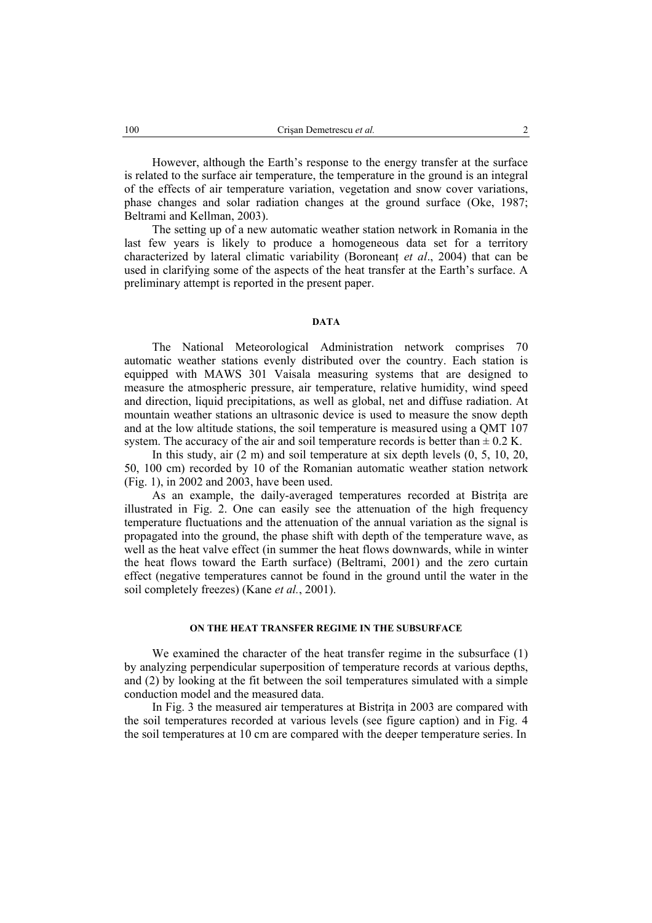However, although the Earth's response to the energy transfer at the surface is related to the surface air temperature, the temperature in the ground is an integral of the effects of air temperature variation, vegetation and snow cover variations, phase changes and solar radiation changes at the ground surface (Oke, 1987; Beltrami and Kellman, 2003).

The setting up of a new automatic weather station network in Romania in the last few years is likely to produce a homogeneous data set for a territory characterized by lateral climatic variability (Boroneant *et al.*, 2004) that can be used in clarifying some of the aspects of the heat transfer at the Earth's surface. A preliminary attempt is reported in the present paper.

### **DATA**

 The National Meteorological Administration network comprises 70 automatic weather stations evenly distributed over the country. Each station is equipped with MAWS 301 Vaisala measuring systems that are designed to measure the atmospheric pressure, air temperature, relative humidity, wind speed and direction, liquid precipitations, as well as global, net and diffuse radiation. At mountain weather stations an ultrasonic device is used to measure the snow depth and at the low altitude stations, the soil temperature is measured using a QMT 107 system. The accuracy of the air and soil temperature records is better than  $\pm$  0.2 K.

In this study, air (2 m) and soil temperature at six depth levels (0, 5, 10, 20, 50, 100 cm) recorded by 10 of the Romanian automatic weather station network (Fig. 1), in 2002 and 2003, have been used.

As an example, the daily-averaged temperatures recorded at Bistrita are illustrated in Fig. 2. One can easily see the attenuation of the high frequency temperature fluctuations and the attenuation of the annual variation as the signal is propagated into the ground, the phase shift with depth of the temperature wave, as well as the heat valve effect (in summer the heat flows downwards, while in winter the heat flows toward the Earth surface) (Beltrami, 2001) and the zero curtain effect (negative temperatures cannot be found in the ground until the water in the soil completely freezes) (Kane *et al.*, 2001).

#### **ON THE HEAT TRANSFER REGIME IN THE SUBSURFACE**

 We examined the character of the heat transfer regime in the subsurface (1) by analyzing perpendicular superposition of temperature records at various depths, and (2) by looking at the fit between the soil temperatures simulated with a simple conduction model and the measured data.

In Fig. 3 the measured air temperatures at Bistrita in 2003 are compared with the soil temperatures recorded at various levels (see figure caption) and in Fig. 4 the soil temperatures at 10 cm are compared with the deeper temperature series. In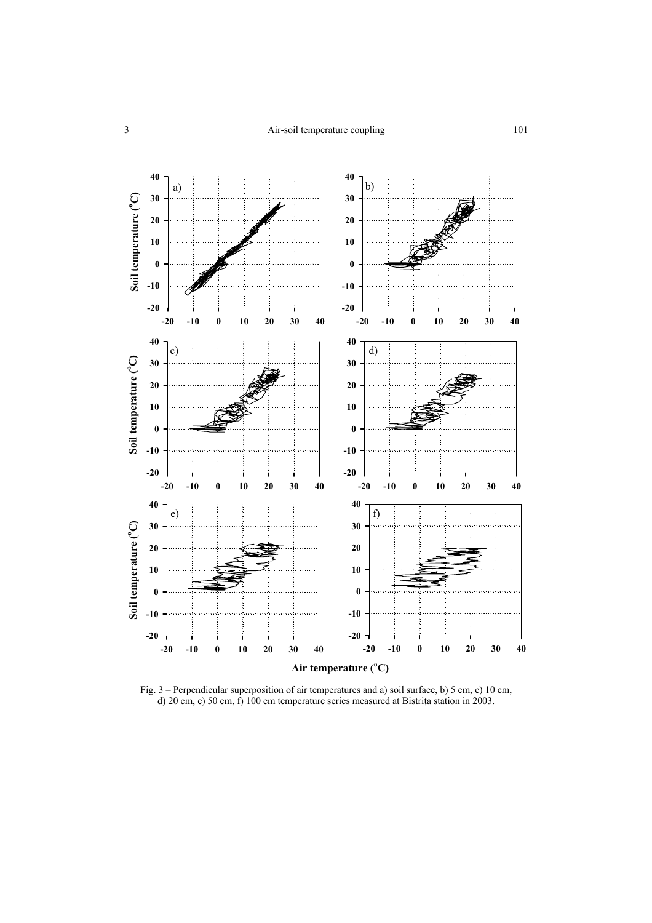

Fig. 3 – Perpendicular superposition of air temperatures and a) soil surface, b) 5 cm, c) 10 cm, d) 20 cm, e) 50 cm, f) 100 cm temperature series measured at Bistriţa station in 2003.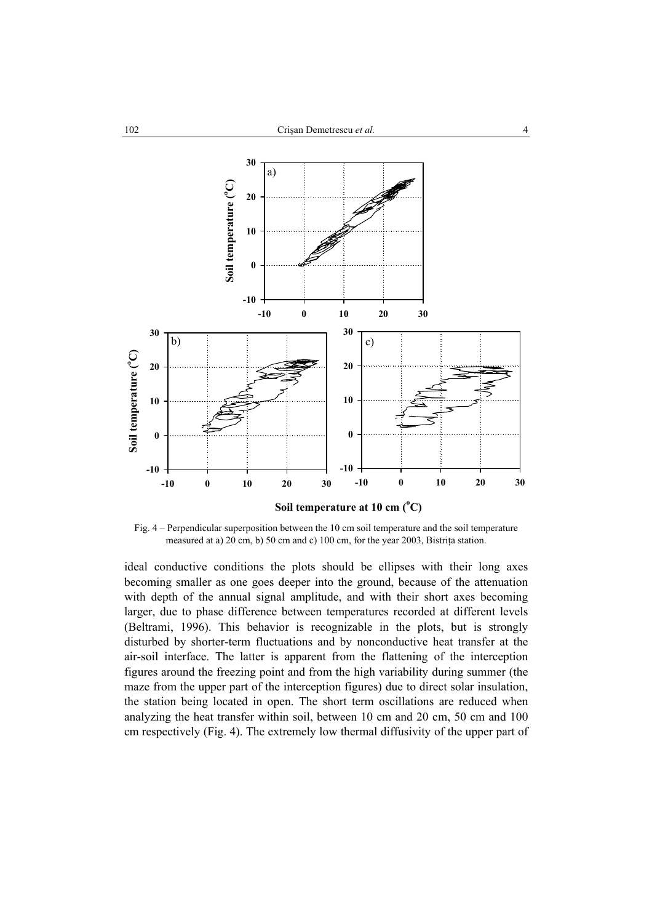

Fig. 4 – Perpendicular superposition between the 10 cm soil temperature and the soil temperature measured at a) 20 cm, b) 50 cm and c) 100 cm, for the year 2003, Bistriţa station.

ideal conductive conditions the plots should be ellipses with their long axes becoming smaller as one goes deeper into the ground, because of the attenuation with depth of the annual signal amplitude, and with their short axes becoming larger, due to phase difference between temperatures recorded at different levels (Beltrami, 1996). This behavior is recognizable in the plots, but is strongly disturbed by shorter-term fluctuations and by nonconductive heat transfer at the air-soil interface. The latter is apparent from the flattening of the interception figures around the freezing point and from the high variability during summer (the maze from the upper part of the interception figures) due to direct solar insulation, the station being located in open. The short term oscillations are reduced when analyzing the heat transfer within soil, between 10 cm and 20 cm, 50 cm and 100 cm respectively (Fig. 4). The extremely low thermal diffusivity of the upper part of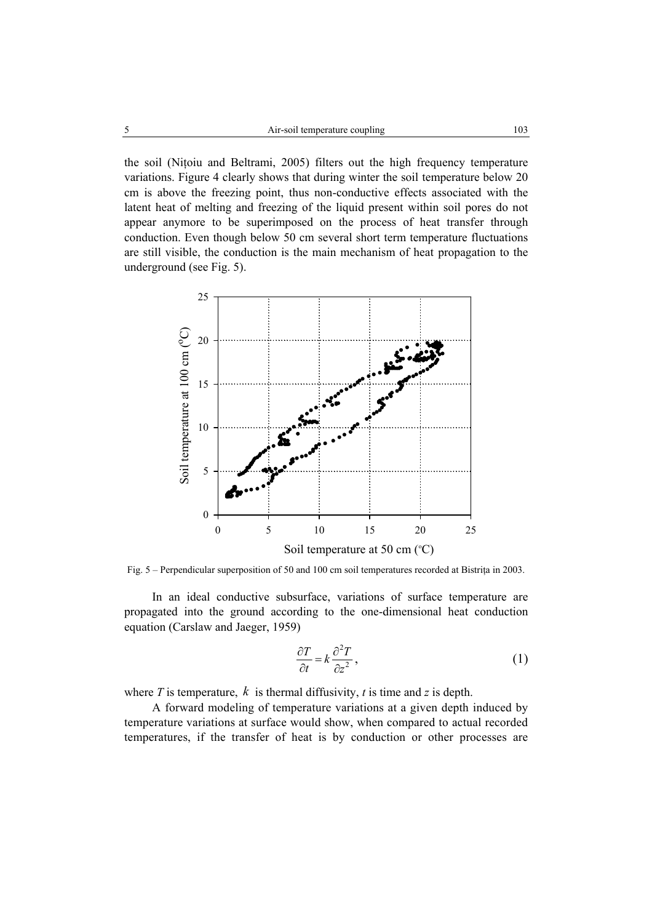the soil (Niţoiu and Beltrami, 2005) filters out the high frequency temperature variations. Figure 4 clearly shows that during winter the soil temperature below 20 cm is above the freezing point, thus non-conductive effects associated with the latent heat of melting and freezing of the liquid present within soil pores do not appear anymore to be superimposed on the process of heat transfer through conduction. Even though below 50 cm several short term temperature fluctuations are still visible, the conduction is the main mechanism of heat propagation to the underground (see Fig. 5).



Fig. 5 – Perpendicular superposition of 50 and 100 cm soil temperatures recorded at Bistriţa in 2003.

 In an ideal conductive subsurface, variations of surface temperature are propagated into the ground according to the one-dimensional heat conduction equation (Carslaw and Jaeger, 1959)

$$
\frac{\partial T}{\partial t} = k \frac{\partial^2 T}{\partial z^2},\tag{1}
$$

where  $T$  is temperature,  $k$  is thermal diffusivity,  $t$  is time and  $z$  is depth.

 A forward modeling of temperature variations at a given depth induced by temperature variations at surface would show, when compared to actual recorded temperatures, if the transfer of heat is by conduction or other processes are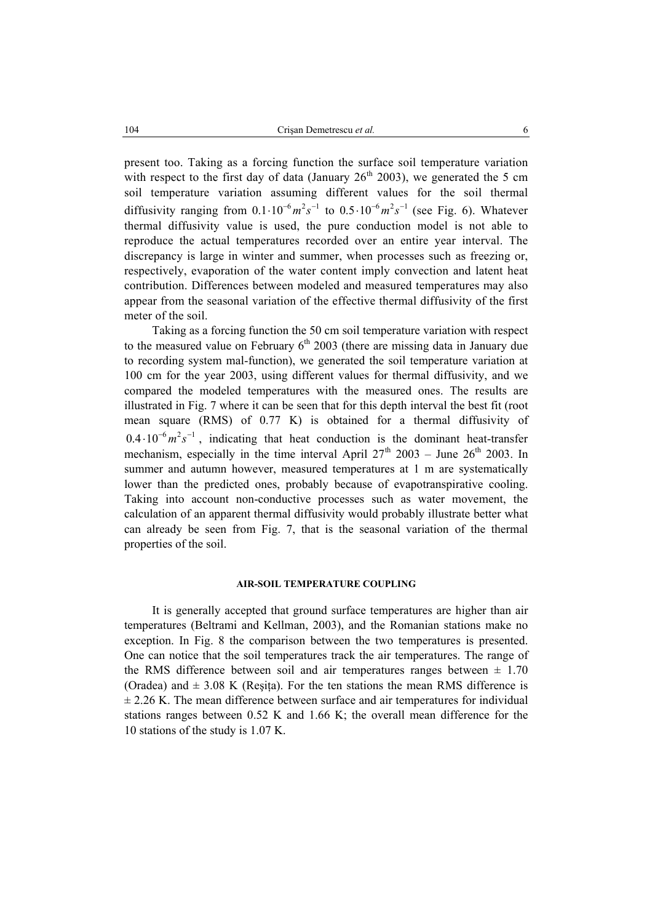present too. Taking as a forcing function the surface soil temperature variation with respect to the first day of data (January  $26<sup>th</sup> 2003$ ), we generated the 5 cm soil temperature variation assuming different values for the soil thermal diffusivity ranging from  $0.1 \cdot 10^{-6} m^2 s^{-1}$  to  $0.5 \cdot 10^{-6} m^2 s^{-1}$  (see Fig. 6). Whatever thermal diffusivity value is used, the pure conduction model is not able to reproduce the actual temperatures recorded over an entire year interval. The discrepancy is large in winter and summer, when processes such as freezing or, respectively, evaporation of the water content imply convection and latent heat contribution. Differences between modeled and measured temperatures may also appear from the seasonal variation of the effective thermal diffusivity of the first meter of the soil.

 Taking as a forcing function the 50 cm soil temperature variation with respect to the measured value on February  $6<sup>th</sup> 2003$  (there are missing data in January due to recording system mal-function), we generated the soil temperature variation at 100 cm for the year 2003, using different values for thermal diffusivity, and we compared the modeled temperatures with the measured ones. The results are illustrated in Fig. 7 where it can be seen that for this depth interval the best fit (root mean square (RMS) of 0.77 K) is obtained for a thermal diffusivity of  $0.4 \cdot 10^{-6} m^2 s^{-1}$ , indicating that heat conduction is the dominant heat-transfer mechanism, especially in the time interval April  $27<sup>th</sup>$  2003 – June  $26<sup>th</sup>$  2003. In summer and autumn however, measured temperatures at 1 m are systematically lower than the predicted ones, probably because of evapotranspirative cooling. Taking into account non-conductive processes such as water movement, the calculation of an apparent thermal diffusivity would probably illustrate better what can already be seen from Fig. 7, that is the seasonal variation of the thermal properties of the soil.

## **AIR-SOIL TEMPERATURE COUPLING**

 It is generally accepted that ground surface temperatures are higher than air temperatures (Beltrami and Kellman, 2003), and the Romanian stations make no exception. In Fig. 8 the comparison between the two temperatures is presented. One can notice that the soil temperatures track the air temperatures. The range of the RMS difference between soil and air temperatures ranges between  $\pm$  1.70 (Oradea) and  $\pm$  3.08 K (Resita). For the ten stations the mean RMS difference is  $\pm$  2.26 K. The mean difference between surface and air temperatures for individual stations ranges between 0.52 K and 1.66 K; the overall mean difference for the 10 stations of the study is 1.07 K.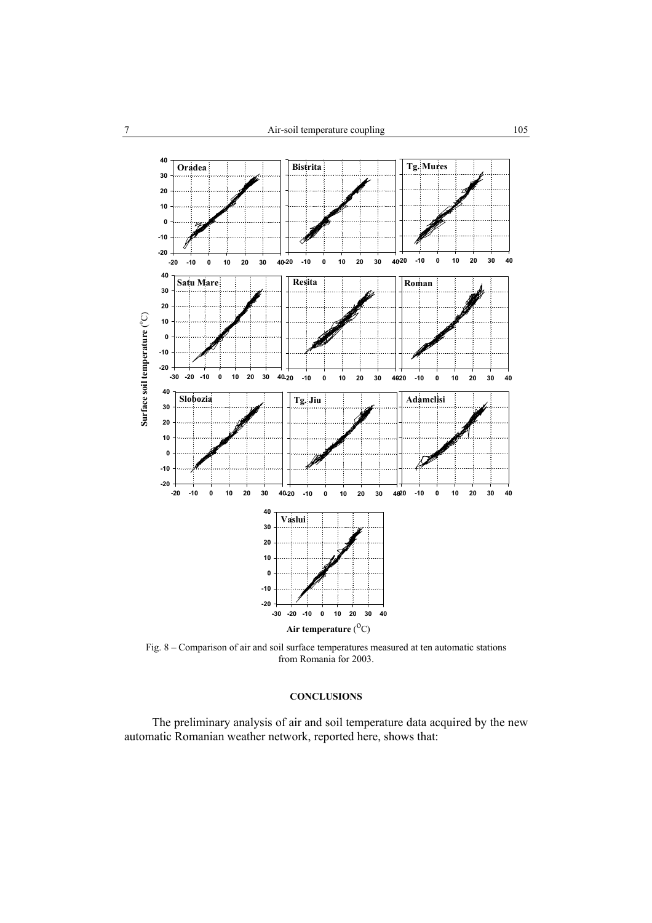

Fig. 8 – Comparison of air and soil surface temperatures measured at ten automatic stations from Romania for 2003.

## **CONCLUSIONS**

The preliminary analysis of air and soil temperature data acquired by the new automatic Romanian weather network, reported here, shows that: